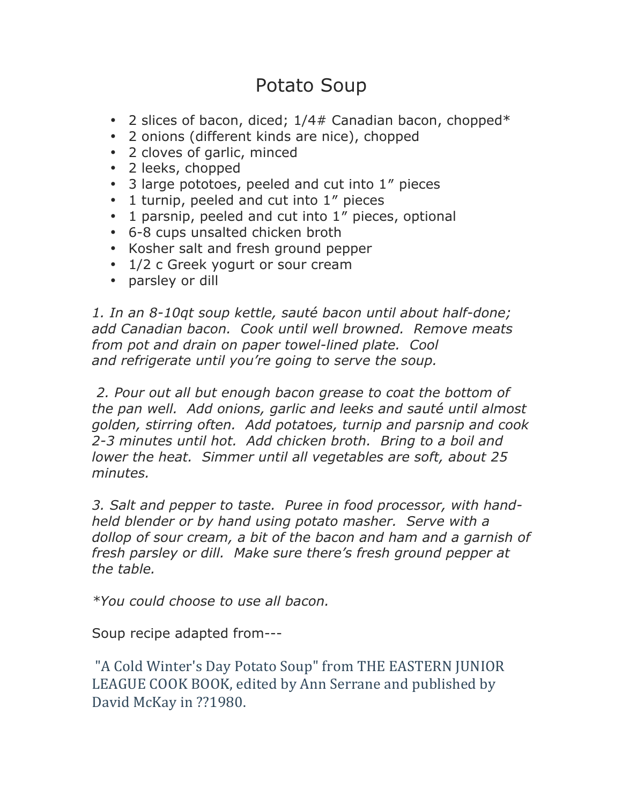## Potato Soup

- 2 slices of bacon, diced; 1/4# Canadian bacon, chopped\*
- 2 onions (different kinds are nice), chopped
- 2 cloves of garlic, minced
- 2 leeks, chopped
- 3 large pototoes, peeled and cut into 1″ pieces
- 1 turnip, peeled and cut into 1" pieces
- 1 parsnip, peeled and cut into 1" pieces, optional
- 6-8 cups unsalted chicken broth
- Kosher salt and fresh ground pepper
- 1/2 c Greek yogurt or sour cream
- parsley or dill

*1. In an 8-10qt soup kettle, sauté bacon until about half-done; add Canadian bacon. Cook until well browned. Remove meats from pot and drain on paper towel-lined plate. Cool and refrigerate until you're going to serve the soup.*

*2. Pour out all but enough bacon grease to coat the bottom of the pan well. Add onions, garlic and leeks and sauté until almost golden, stirring often. Add potatoes, turnip and parsnip and cook 2-3 minutes until hot. Add chicken broth. Bring to a boil and lower the heat. Simmer until all vegetables are soft, about 25 minutes.*

*3. Salt and pepper to taste. Puree in food processor, with handheld blender or by hand using potato masher. Serve with a dollop of sour cream, a bit of the bacon and ham and a garnish of fresh parsley or dill. Make sure there's fresh ground pepper at the table.*

*\*You could choose to use all bacon.*

Soup recipe adapted from---

"A Cold Winter's Day Potato Soup" from THE EASTERN JUNIOR LEAGUE COOK BOOK, edited by Ann Serrane and published by David McKay in ??1980.